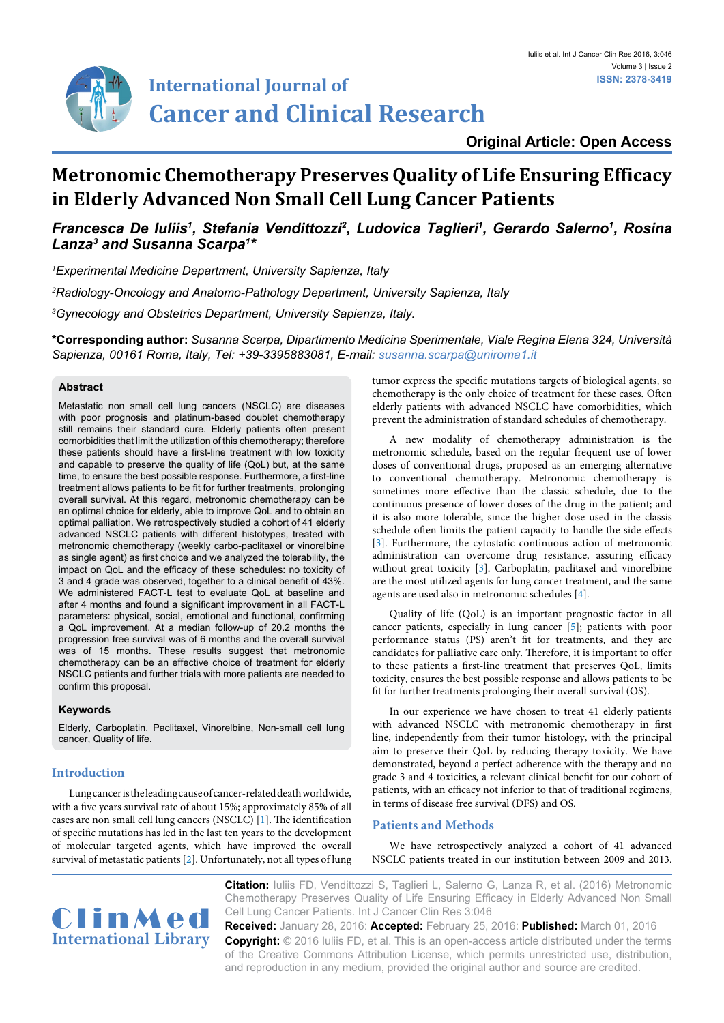

## **Original Article: Open Access**

# **Metronomic Chemotherapy Preserves Quality of Life Ensuring Efficacy in Elderly Advanced Non Small Cell Lung Cancer Patients**

*Francesca De Iuliis<sup>1</sup>, Stefania Vendittozzi<sup>2</sup>, Ludovica Taglieri<sup>1</sup>, Gerardo Salerno<sup>1</sup>, Rosina Lanza3 and Susanna Scarpa1 \**

*1 Experimental Medicine Department, University Sapienza, Italy 2 Radiology-Oncology and Anatomo-Pathology Department, University Sapienza, Italy 3 Gynecology and Obstetrics Department, University Sapienza, Italy.* 

**\*Corresponding author:** *Susanna Scarpa, Dipartimento Medicina Sperimentale, Viale Regina Elena 324, Università Sapienza, 00161 Roma, Italy, Tel: +39-3395883081, E-mail: susanna.scarpa@uniroma1.it*

#### **Abstract**

Metastatic non small cell lung cancers (NSCLC) are diseases with poor prognosis and platinum-based doublet chemotherapy still remains their standard cure. Elderly patients often present comorbidities that limit the utilization of this chemotherapy; therefore these patients should have a first-line treatment with low toxicity and capable to preserve the quality of life (QoL) but, at the same time, to ensure the best possible response. Furthermore, a first-line treatment allows patients to be fit for further treatments, prolonging overall survival. At this regard, metronomic chemotherapy can be an optimal choice for elderly, able to improve QoL and to obtain an optimal palliation. We retrospectively studied a cohort of 41 elderly advanced NSCLC patients with different histotypes, treated with metronomic chemotherapy (weekly carbo-paclitaxel or vinorelbine as single agent) as first choice and we analyzed the tolerability, the impact on QoL and the efficacy of these schedules: no toxicity of 3 and 4 grade was observed, together to a clinical benefit of 43%. We administered FACT-L test to evaluate QoL at baseline and after 4 months and found a significant improvement in all FACT-L parameters: physical, social, emotional and functional, confirming a QoL improvement. At a median follow-up of 20.2 months the progression free survival was of 6 months and the overall survival was of 15 months. These results suggest that metronomic chemotherapy can be an effective choice of treatment for elderly NSCLC patients and further trials with more patients are needed to confirm this proposal.

## **Keywords**

Elderly, Carboplatin, Paclitaxel, Vinorelbine, Non-small cell lung cancer, Quality of life.

### **Introduction**

Lung cancer is the leading cause of cancer-related death worldwide, with a five years survival rate of about 15%; approximately 85% of all cases are non small cell lung cancers (NSCLC) [[1](#page-3-3)]. The identification of specific mutations has led in the last ten years to the development of molecular targeted agents, which have improved the overall survival of metastatic patients [\[2\]](#page-3-4). Unfortunately, not all types of lung tumor express the specific mutations targets of biological agents, so chemotherapy is the only choice of treatment for these cases. Often elderly patients with advanced NSCLC have comorbidities, which prevent the administration of standard schedules of chemotherapy.

A new modality of chemotherapy administration is the metronomic schedule, based on the regular frequent use of lower doses of conventional drugs, proposed as an emerging alternative to conventional chemotherapy. Metronomic chemotherapy is sometimes more effective than the classic schedule, due to the continuous presence of lower doses of the drug in the patient; and it is also more tolerable, since the higher dose used in the classis schedule often limits the patient capacity to handle the side effects [\[3\]](#page-3-0). Furthermore, the cytostatic continuous action of metronomic administration can overcome drug resistance, assuring efficacy without great toxicity [[3](#page-3-0)]. Carboplatin, paclitaxel and vinorelbine are the most utilized agents for lung cancer treatment, and the same agents are used also in metronomic schedules [\[4\]](#page-3-1).

Quality of life (QoL) is an important prognostic factor in all cancer patients, especially in lung cancer [\[5\]](#page-3-2); patients with poor performance status (PS) aren't fit for treatments, and they are candidates for palliative care only. Therefore, it is important to offer to these patients a first-line treatment that preserves QoL, limits toxicity, ensures the best possible response and allows patients to be fit for further treatments prolonging their overall survival (OS).

In our experience we have chosen to treat 41 elderly patients with advanced NSCLC with metronomic chemotherapy in first line, independently from their tumor histology, with the principal aim to preserve their QoL by reducing therapy toxicity. We have demonstrated, beyond a perfect adherence with the therapy and no grade 3 and 4 toxicities, a relevant clinical benefit for our cohort of patients, with an efficacy not inferior to that of traditional regimens, in terms of disease free survival (DFS) and OS.

## **Patients and Methods**

We have retrospectively analyzed a cohort of 41 advanced NSCLC patients treated in our institution between 2009 and 2013.



**Citation:** Iuliis FD, Vendittozzi S, Taglieri L, Salerno G, Lanza R, et al. (2016) Metronomic Chemotherapy Preserves Quality of Life Ensuring Efficacy in Elderly Advanced Non Small Cell Lung Cancer Patients. Int J Cancer Clin Res 3:046

**Received:** January 28, 2016: **Accepted:** February 25, 2016: **Published:** March 01, 2016 **Copyright:** © 2016 Iuliis FD, et al. This is an open-access article distributed under the terms of the Creative Commons Attribution License, which permits unrestricted use, distribution, and reproduction in any medium, provided the original author and source are credited.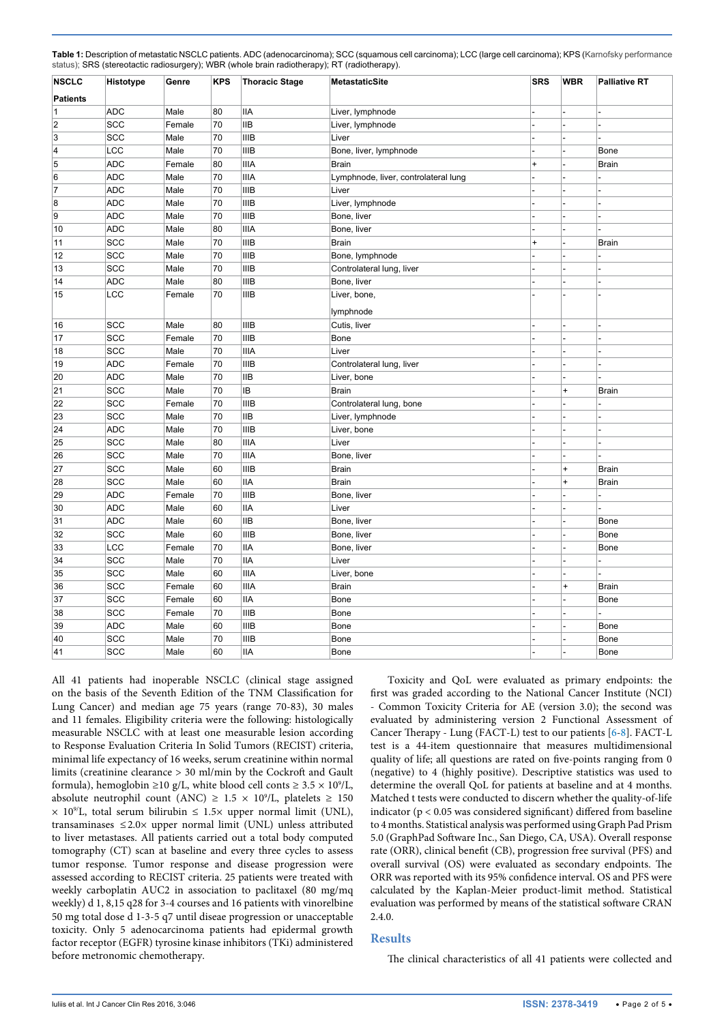| <b>NSCLC</b>    | Histotype  | --- J -- <i>J /</i> ,<br>Genre | <b>KPS</b> | <b>Thoracic Stage</b> | <b>MetastaticSite</b>                | <b>SRS</b> | <b>WBR</b> | <b>Palliative RT</b> |
|-----------------|------------|--------------------------------|------------|-----------------------|--------------------------------------|------------|------------|----------------------|
| <b>Patients</b> |            |                                |            |                       |                                      |            |            |                      |
| 1               | <b>ADC</b> | Male                           | 80         | <b>IIA</b>            | Liver, lymphnode                     |            |            |                      |
| 2               | SCC        | Female                         | 70         | <b>IIB</b>            | Liver, lymphnode                     |            |            |                      |
| 3               | SCC        | Male                           | 70         | <b>IIIB</b>           | Liver                                |            |            |                      |
| 4               | LCC        | Male                           | 70         | <b>IIIB</b>           | Bone, liver, lymphnode               |            |            | Bone                 |
| 5               | <b>ADC</b> | Female                         | 80         | <b>IIIA</b>           | <b>Brain</b>                         | $\ddot{}$  |            | <b>Brain</b>         |
| 6               | <b>ADC</b> | Male                           | 70         | <b>IIIA</b>           | Lymphnode, liver, controlateral lung |            |            |                      |
| 7               | <b>ADC</b> | Male                           | 70         | <b>IIIB</b>           | Liver                                |            |            |                      |
| 8               | ADC        | Male                           | 70         | <b>IIIB</b>           | Liver, lymphnode                     |            |            |                      |
| 9               | <b>ADC</b> | Male                           | 70         | <b>IIIB</b>           | Bone, liver                          |            |            |                      |
| 10              | ADC        | Male                           | 80         | <b>IIIA</b>           | Bone, liver                          |            |            |                      |
| 11              | SCC        | Male                           | 70         | <b>IIIB</b>           | <b>Brain</b>                         | $\ddot{}$  |            | <b>Brain</b>         |
| 12              | SCC        | Male                           | 70         | <b>IIIB</b>           | Bone, lymphnode                      |            |            |                      |
| 13              | SCC        | Male                           | 70         | <b>IIIB</b>           | Controlateral lung, liver            |            |            |                      |
| 14              | <b>ADC</b> | Male                           | 80         | <b>IIIB</b>           | Bone, liver                          |            |            |                      |
| 15              | LCC        | Female                         | 70         | <b>IIIB</b>           | Liver, bone,                         |            |            |                      |
|                 |            |                                |            |                       | lymphnode                            |            |            |                      |
| 16              | SCC        | Male                           | 80         | <b>IIIB</b>           | Cutis, liver                         |            |            |                      |
| 17              | SCC        | Female                         | 70         | <b>IIIB</b>           | Bone                                 |            |            |                      |
| 18              | SCC        | Male                           | 70         | <b>IIIA</b>           | Liver                                |            |            |                      |
| 19              | ADC        | Female                         | 70         | <b>IIIB</b>           | Controlateral lung, liver            |            |            |                      |
| 20              | <b>ADC</b> | Male                           | 70         | <b>IIB</b>            | Liver, bone                          |            |            |                      |
| 21              | SCC        | Male                           | 70         | IB                    | <b>Brain</b>                         |            | $\ddot{}$  | <b>Brain</b>         |
| 22              | SCC        | Female                         | 70         | <b>IIIB</b>           | Controlateral lung, bone             |            |            |                      |
| 23              | SCC        | Male                           | 70         | <b>IIB</b>            | Liver, lymphnode                     |            |            |                      |
| 24              | <b>ADC</b> | Male                           | 70         | <b>IIIB</b>           | Liver, bone                          |            |            |                      |
| 25              | SCC        | Male                           | 80         | <b>IIIA</b>           | Liver                                |            |            |                      |
| 26              | SCC        | Male                           | 70         | <b>IIIA</b>           | Bone, liver                          |            |            |                      |
| 27              | SCC        | Male                           | 60         | <b>IIIB</b>           | <b>Brain</b>                         |            | $\ddot{}$  | <b>Brain</b>         |
| 28              | SCC        | Male                           | 60         | <b>IIA</b>            | <b>Brain</b>                         |            | $+$        | <b>Brain</b>         |
| 29              | <b>ADC</b> | Female                         | 70         | <b>IIIB</b>           | Bone, liver                          |            |            |                      |
| 30              | <b>ADC</b> | Male                           | 60         | <b>IIA</b>            | Liver                                |            |            |                      |
| 31              | <b>ADC</b> | Male                           | 60         | <b>IIB</b>            | Bone, liver                          |            |            | <b>Bone</b>          |
| 32              | SCC        | Male                           | 60         | <b>IIIB</b>           | Bone, liver                          |            |            | Bone                 |
| 33              | LCC        | Female                         | 70         | <b>IIA</b>            | Bone, liver                          |            |            | Bone                 |
| 34              | SCC        | Male                           | 70         | IIA                   | Liver                                |            |            |                      |
| 35              | SCC        | Male                           | 60         | <b>IIIA</b>           | Liver, bone                          |            |            |                      |
| 36              | SCC        | Female                         | 60         | <b>IIIA</b>           | <b>Brain</b>                         |            | $\ddot{}$  | <b>Brain</b>         |
| 37              | SCC        | Female                         | 60         | <b>IIA</b>            | Bone                                 |            |            | Bone                 |
| 38              | SCC        | Female                         | 70         | <b>IIIB</b>           | Bone                                 |            |            |                      |
| 39              | <b>ADC</b> | Male                           | 60         | <b>IIIB</b>           | <b>Bone</b>                          |            |            | Bone                 |
| 40              | SCC        | Male                           | 70         | <b>IIIB</b>           | <b>Bone</b>                          |            |            | Bone                 |
| 41              | SCC        | Male                           | 60         | <b>IIA</b>            | <b>Bone</b>                          |            |            | Bone                 |
|                 |            |                                |            |                       |                                      |            |            |                      |

<span id="page-1-0"></span>**Table 1:** Description of metastatic NSCLC patients. ADC (adenocarcinoma); SCC (squamous cell carcinoma); LCC (large cell carcinoma); KPS (Karnofsky performance status); SRS (stereotactic radiosurgery); WBR (whole brain radiotherapy); RT (radiotherapy).

All 41 patients had inoperable NSCLC (clinical stage assigned on the basis of the Seventh Edition of the TNM Classification for Lung Cancer) and median age 75 years (range 70-83), 30 males and 11 females. Eligibility criteria were the following: histologically measurable NSCLC with at least one measurable lesion according to Response Evaluation Criteria In Solid Tumors (RECIST) criteria, minimal life expectancy of 16 weeks, serum creatinine within normal limits (creatinine clearance > 30 ml/min by the Cockroft and Gault formula), hemoglobin ≥10 g/L, white blood cell conts  $\geq 3.5 \times 10^9$ /L, absolute neutrophil count (ANC)  $\geq 1.5 \times 10^9$ /L, platelets  $\geq 150$  $\times$  10<sup>9</sup>/L, total serum bilirubin  $\leq$  1.5 $\times$  upper normal limit (UNL), transaminases  $\leq 2.0 \times$  upper normal limit (UNL) unless attributed to liver metastases. All patients carried out a total body computed tomography (CT) scan at baseline and every three cycles to assess tumor response. Tumor response and disease progression were assessed according to RECIST criteria. 25 patients were treated with weekly carboplatin AUC2 in association to paclitaxel (80 mg/mq weekly) d 1, 8,15 q28 for 3-4 courses and 16 patients with vinorelbine 50 mg total dose d 1-3-5 q7 until diseae progression or unacceptable toxicity. Only 5 adenocarcinoma patients had [epidermal growth](https://en.wikipedia.org/wiki/Epidermal_growth_factor_receptor)  [factor receptor](https://en.wikipedia.org/wiki/Epidermal_growth_factor_receptor) (EGFR) [tyrosine kinase inhibitors](https://en.wikipedia.org/wiki/Tyrosine_kinase_inhibitors) (TKi) administered before metronomic chemotherapy.

Toxicity and QoL were evaluated as primary endpoints: the first was graded according to the National Cancer Institute (NCI) - Common Toxicity Criteria for AE (version 3.0); the second was evaluated by administering version 2 Functional Assessment of Cancer Therapy - Lung (FACT-L) test to our patients [[6](#page-3-5)-[8\]](#page-3-6). FACT-L test is a 44-item questionnaire that measures multidimensional quality of life; all questions are rated on five-points ranging from 0 (negative) to 4 (highly positive). Descriptive statistics was used to determine the overall QoL for patients at baseline and at 4 months. Matched t tests were conducted to discern whether the quality-of-life indicator ( $p < 0.05$  was considered significant) differed from baseline to 4 months. Statistical analysis was performed using Graph Pad Prism 5.0 (GraphPad Software Inc., San Diego, CA, USA). Overall response rate (ORR), clinical benefit (CB), progression free survival (PFS) and overall survival (OS) were evaluated as secondary endpoints. The ORR was reported with its 95% confidence interval. OS and PFS were calculated by the Kaplan-Meier product-limit method. Statistical evaluation was performed by means of the statistical software CRAN 2.4.0.

## **Results**

The clinical characteristics of all 41 patients were collected and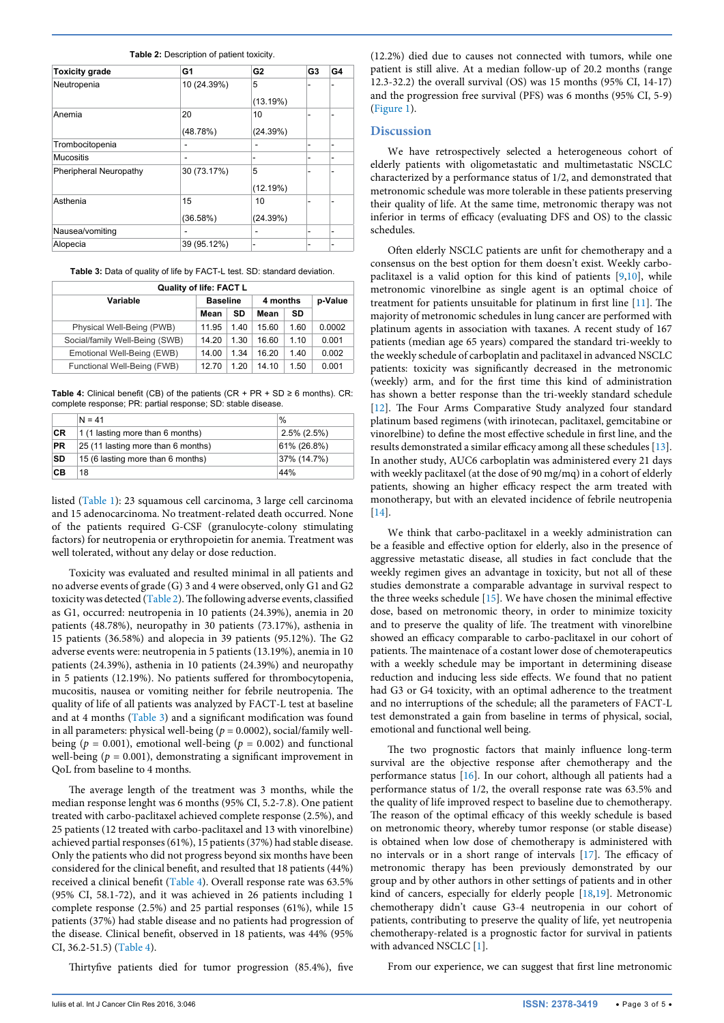| <b>Toxicity grade</b>  | G1          | G <sub>2</sub> | G <sub>3</sub> | G4 |
|------------------------|-------------|----------------|----------------|----|
| Neutropenia            | 10 (24.39%) | 5              | ٠              | ۰  |
|                        |             | (13.19%)       |                |    |
| Anemia                 | 20          | 10             | ۰              | ۰  |
|                        | (48.78%)    | (24.39%)       |                |    |
| Trombocitopenia        | -           | ٠              | ٠              | ۰  |
| Mucositis              | ٠           | -              | ۰              | ۰  |
| Pheripheral Neuropathy | 30 (73.17%) | 5              | ٠              | ۰  |
|                        |             | (12.19%)       |                |    |
| Asthenia               | 15          | 10             |                |    |
|                        | (36.58%)    | (24.39%)       |                |    |
| Nausea/vomiting        |             | ٠              | ۰              | ۰  |
| Alopecia               | 39 (95.12%) | ٠              | ۰              | ۰  |

<span id="page-2-0"></span>**Table 2:** Description of patient toxicity.

<span id="page-2-1"></span>**Table 3:** Data of quality of life by FACT-L test. SD: standard deviation.

| <b>Quality of life: FACT L</b> |                 |      |          |      |         |
|--------------------------------|-----------------|------|----------|------|---------|
| Variable                       | <b>Baseline</b> |      | 4 months |      | p-Value |
|                                | Mean            | SD   | Mean     | SD   |         |
| Physical Well-Being (PWB)      | 11.95           | 1.40 | 15.60    | 1.60 | 0.0002  |
| Social/family Well-Being (SWB) | 14.20           | 1.30 | 16.60    | 1.10 | 0.001   |
| Emotional Well-Being (EWB)     | 14.00           | 1.34 | 16.20    | 1.40 | 0.002   |
| Functional Well-Being (FWB)    | 12.70           | 1.20 | 14.10    | 1.50 | 0.001   |

<span id="page-2-2"></span>**Table 4:** Clinical benefit (CB) of the patients  $(CR + PR + SD \ge 6$  months).  $CR$ : complete response; PR: partial response; SD: stable disease.

|           | $N = 41$                           | $\%$           |
|-----------|------------------------------------|----------------|
| <b>CR</b> | 1 (1 lasting more than 6 months)   | $2.5\%$ (2.5%) |
| <b>PR</b> | 25 (11 lasting more than 6 months) | 61% (26.8%)    |
| SD        | 15 (6 lasting more than 6 months)  | 37% (14.7%)    |
| CВ        | 18                                 | 44%            |

listed ([Table 1\)](#page-1-0): 23 squamous cell carcinoma, 3 large cell carcinoma and 15 adenocarcinoma. No treatment-related death occurred. None of the patients required G-CSF (granulocyte-colony stimulating factors) for neutropenia or erythropoietin for anemia. Treatment was well tolerated, without any delay or dose reduction.

Toxicity was evaluated and resulted minimal in all patients and no adverse events of grade (G) 3 and 4 were observed, only G1 and G2 toxicity was detected ([Table 2](#page-2-0)). The following adverse events, classified as G1, occurred: neutropenia in 10 patients (24.39%), anemia in 20 patients (48.78%), neuropathy in 30 patients (73.17%), asthenia in 15 patients (36.58%) and alopecia in 39 patients (95.12%). The G2 adverse events were: neutropenia in 5 patients (13.19%), anemia in 10 patients (24.39%), asthenia in 10 patients (24.39%) and neuropathy in 5 patients (12.19%). No patients suffered for thrombocytopenia, mucositis, nausea or vomiting neither for febrile neutropenia. The quality of life of all patients was analyzed by FACT-L test at baseline and at 4 months [\(Table 3](#page-2-1)) and a significant modification was found in all parameters: physical well-being  $(p = 0.0002)$ , social/family wellbeing ( $p = 0.001$ ), emotional well-being ( $p = 0.002$ ) and functional well-being ( $p = 0.001$ ), demonstrating a significant improvement in QoL from baseline to 4 months.

The average length of the treatment was 3 months, while the median response lenght was 6 months (95% CI, 5.2-7.8). One patient treated with carbo-paclitaxel achieved complete response (2.5%), and 25 patients (12 treated with carbo-paclitaxel and 13 with vinorelbine) achieved partial responses (61%), 15 patients (37%) had stable disease. Only the patients who did not progress beyond six months have been considered for the clinical benefit, and resulted that 18 patients (44%) received a clinical benefit [\(Table 4](#page-2-2)). Overall response rate was 63.5% (95% CI, 58.1-72), and it was achieved in 26 patients including 1 complete response (2.5%) and 25 partial responses (61%), while 15 patients (37%) had stable disease and no patients had progression of the disease. Clinical benefit, observed in 18 patients, was 44% (95% CI, 36.2-51.5) [\(Table 4\)](#page-2-2).

Thirtyfive patients died for tumor progression (85.4%), five

(12.2%) died due to causes not connected with tumors, while one patient is still alive. At a median follow-up of 20.2 months (range 12.3-32.2) the overall survival (OS) was 15 months (95% CI, 14-17) and the progression free survival (PFS) was 6 months (95% CI, 5-9) ([Figure 1\)](#page-3-7).

#### **Discussion**

We have retrospectively selected a heterogeneous cohort of elderly patients with oligometastatic and multimetastatic NSCLC characterized by a performance status of 1/2, and demonstrated that metronomic schedule was more tolerable in these patients preserving their quality of life. At the same time, metronomic therapy was not inferior in terms of efficacy (evaluating DFS and OS) to the classic schedules.

Often elderly NSCLC patients are unfit for chemotherapy and a consensus on the best option for them doesn't exist. Weekly carbopaclitaxel is a valid option for this kind of patients [\[9](#page-4-0),[10](#page-4-1)], while metronomic vinorelbine as single agent is an optimal choice of treatment for patients unsuitable for platinum in first line [[11](#page-4-2)]. The majority of metronomic schedules in lung cancer are performed with platinum agents in association with taxanes. A recent study of 167 patients (median age 65 years) compared the standard tri-weekly to the weekly schedule of carboplatin and paclitaxel in advanced NSCLC patients: toxicity was significantly decreased in the metronomic (weekly) arm, and for the first time this kind of administration has shown a better response than the tri-weekly standard schedule [[12](#page-4-3)]. The Four Arms Comparative Study analyzed four standard platinum based regimens (with irinotecan, paclitaxel, gemcitabine or vinorelbine) to define the most effective schedule in first line, and the results demonstrated a similar efficacy among all these schedules [[13\]](#page-4-4). In another study, AUC6 carboplatin was administered every 21 days with weekly paclitaxel (at the dose of 90 mg/mq) in a cohort of elderly patients, showing an higher efficacy respect the arm treated with monotherapy, but with an elevated incidence of febrile neutropenia [[14](#page-4-5)].

We think that carbo-paclitaxel in a weekly administration can be a feasible and effective option for elderly, also in the presence of aggressive metastatic disease, all studies in fact conclude that the weekly regimen gives an advantage in toxicity, but not all of these studies demonstrate a comparable advantage in survival respect to the three weeks schedule [\[15](#page-4-6)]. We have chosen the minimal effective dose, based on metronomic theory, in order to minimize toxicity and to preserve the quality of life. The treatment with vinorelbine showed an efficacy comparable to carbo-paclitaxel in our cohort of patients. The maintenace of a costant lower dose of chemoterapeutics with a weekly schedule may be important in determining disease reduction and inducing less side effects. We found that no patient had G3 or G4 toxicity, with an optimal adherence to the treatment and no interruptions of the schedule; all the parameters of FACT-L test demonstrated a gain from baseline in terms of physical, social, emotional and functional well being.

The two prognostic factors that mainly influence long-term survival are the objective response after chemotherapy and the performance status [\[16\]](#page-4-7). In our cohort, although all patients had a performance status of 1/2, the overall response rate was 63.5% and the quality of life improved respect to baseline due to chemotherapy. The reason of the optimal efficacy of this weekly schedule is based on metronomic theory, whereby tumor response (or stable disease) is obtained when low dose of chemotherapy is administered with no intervals or in a short range of intervals [[17](#page-4-8)]. The efficacy of metronomic therapy has been previously demonstrated by our group and by other authors in other settings of patients and in other kind of cancers, especially for elderly people [\[18,](#page-4-9)[19](#page-4-10)]. Metronomic chemotherapy didn't cause G3-4 neutropenia in our cohort of patients, contributing to preserve the quality of life, yet neutropenia chemotherapy-related is a prognostic factor for survival in patients with advanced NSCLC [[1](#page-3-3)].

From our experience, we can suggest that first line metronomic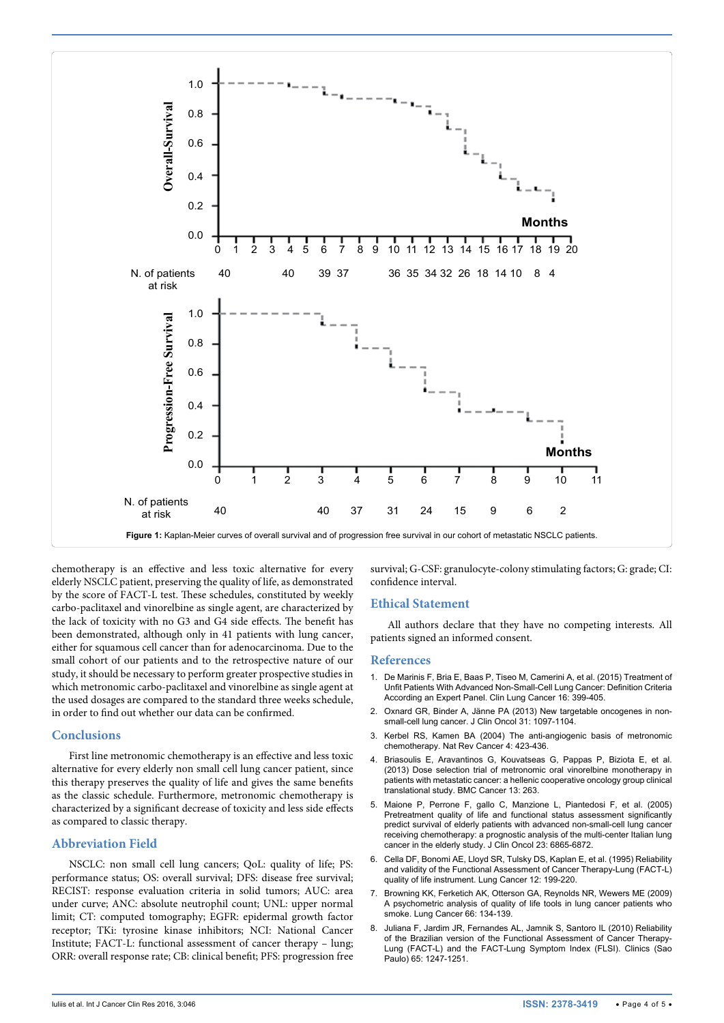<span id="page-3-7"></span>

chemotherapy is an effective and less toxic alternative for every elderly NSCLC patient, preserving the quality of life, as demonstrated by the score of FACT-L test. These schedules, constituted by weekly carbo-paclitaxel and vinorelbine as single agent, are characterized by the lack of toxicity with no G3 and G4 side effects. The benefit has been demonstrated, although only in 41 patients with lung cancer, either for squamous cell cancer than for adenocarcinoma. Due to the small cohort of our patients and to the retrospective nature of our study, it should be necessary to perform greater prospective studies in which metronomic carbo-paclitaxel and vinorelbine as single agent at the used dosages are compared to the standard three weeks schedule, in order to find out whether our data can be confirmed.

#### **Conclusions**

First line metronomic chemotherapy is an effective and less toxic alternative for every elderly non small cell lung cancer patient, since this therapy preserves the quality of life and gives the same benefits as the classic schedule. Furthermore, metronomic chemotherapy is characterized by a significant decrease of toxicity and less side effects as compared to classic therapy.

## **Abbreviation Field**

NSCLC: non small cell lung cancers; QoL: quality of life; PS: performance status; OS: overall survival; DFS: disease free survival; RECIST: response evaluation criteria in solid tumors; AUC: area under curve; ANC: absolute neutrophil count; UNL: upper normal limit; CT: computed tomography; EGFR: [epidermal growth factor](https://en.wikipedia.org/wiki/Epidermal_growth_factor_receptor)  [receptor;](https://en.wikipedia.org/wiki/Epidermal_growth_factor_receptor) TKi: [tyrosine kinase inhibitors](https://en.wikipedia.org/wiki/Tyrosine_kinase_inhibitors); NCI: National Cancer Institute; FACT-L: functional assessment of cancer therapy – lung; ORR: overall response rate; CB: clinical benefit; PFS: progression free

survival; G-CSF: granulocyte-colony stimulating factors; G: grade; CI: confidence interval.

## **Ethical Statement**

All authors declare that they have no competing interests. All patients signed an informed consent.

#### **References**

- <span id="page-3-3"></span>1. [De Marinis F, Bria E, Baas P, Tiseo M, Camerini A, et al. \(2015\) Treatment of](http://www.ncbi.nlm.nih.gov/pubmed/25989953)  [Unfit Patients With Advanced Non-Small-Cell Lung Cancer: Definition Criteria](http://www.ncbi.nlm.nih.gov/pubmed/25989953)  [According an Expert Panel. Clin Lung Cancer 16: 399-405.](http://www.ncbi.nlm.nih.gov/pubmed/25989953)
- <span id="page-3-4"></span>2. [Oxnard GR, Binder A, Jänne PA \(2013\) New targetable oncogenes in non](http://www.ncbi.nlm.nih.gov/pubmed/23401445)[small-cell lung cancer. J Clin Oncol 31: 1097-1104.](http://www.ncbi.nlm.nih.gov/pubmed/23401445)
- <span id="page-3-0"></span>3. [Kerbel RS, Kamen BA \(2004\) The anti-angiogenic basis of metronomic](http://www.ncbi.nlm.nih.gov/pubmed/15170445)  [chemotherapy. Nat Rev Cancer 4: 423-436.](http://www.ncbi.nlm.nih.gov/pubmed/15170445)
- <span id="page-3-1"></span>4. [Briasoulis E, Aravantinos G, Kouvatseas G, Pappas P, Biziota E, et al.](http://www.ncbi.nlm.nih.gov/pubmed/23718900)  [\(2013\) Dose selection trial of metronomic oral vinorelbine monotherapy in](http://www.ncbi.nlm.nih.gov/pubmed/23718900)  [patients with metastatic cancer: a hellenic cooperative oncology group clinical](http://www.ncbi.nlm.nih.gov/pubmed/23718900)  [translational study. BMC Cancer 13: 263.](http://www.ncbi.nlm.nih.gov/pubmed/23718900)
- <span id="page-3-2"></span>5. [Maione P, Perrone F, gallo C, Manzione L, Piantedosi F, et al. \(2005\)](http://www.ncbi.nlm.nih.gov/pubmed/16192578)  Pretreatment quality of life and functional status assessment significantly [predict survival of elderly patients with advanced non-small-cell lung cancer](http://www.ncbi.nlm.nih.gov/pubmed/16192578)  [receiving chemotherapy: a prognostic analysis of the multi-center Italian lung](http://www.ncbi.nlm.nih.gov/pubmed/16192578)  [cancer in the elderly study. J Clin Oncol 23: 6865-6872.](http://www.ncbi.nlm.nih.gov/pubmed/16192578)
- <span id="page-3-5"></span>6. [Cella DF, Bonomi AE, Lloyd SR, Tulsky DS, Kaplan E, et al. \(1995\) Reliability](http://www.ncbi.nlm.nih.gov/pubmed/7655830)  [and validity of the Functional Assessment of Cancer Therapy-Lung \(FACT-L\)](http://www.ncbi.nlm.nih.gov/pubmed/7655830)  [quality of life instrument. Lung Cancer 12: 199-220.](http://www.ncbi.nlm.nih.gov/pubmed/7655830)
- 7. [Browning KK, Ferketich AK, Otterson GA, Reynolds NR, Wewers ME \(2009\)](http://www.ncbi.nlm.nih.gov/pubmed/19181418)  [A psychometric analysis of quality of life tools in lung cancer patients who](http://www.ncbi.nlm.nih.gov/pubmed/19181418)  [smoke. Lung Cancer 66: 134-139.](http://www.ncbi.nlm.nih.gov/pubmed/19181418)
- <span id="page-3-6"></span>8. [Juliana F, Jardim JR, Fernandes AL, Jamnik S, Santoro IL \(2010\) Reliability](http://www.ncbi.nlm.nih.gov/pubmed/21340211)  [of the Brazilian version of the Functional Assessment of Cancer Therapy-](http://www.ncbi.nlm.nih.gov/pubmed/21340211)[Lung \(FACT-L\) and the FACT-Lung Symptom Index \(FLSI\). Clinics \(Sao](http://www.ncbi.nlm.nih.gov/pubmed/21340211)  [Paulo\) 65: 1247-1251.](http://www.ncbi.nlm.nih.gov/pubmed/21340211)